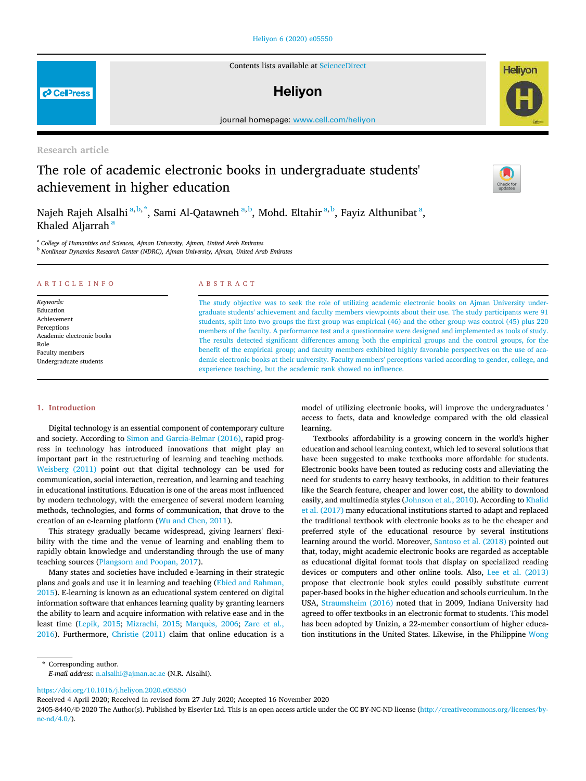## Heliyon 6 (2020) e05550

Contents lists available at ScienceDirect

# **Helivon**

journal homepage: www.cell.com/heliyon

Research article

**P** CellPress

# The role of academic electronic books in undergraduate students' achievement in higher education

Najeh Rajeh Alsalhi <sup>a, b, \*</sup>, Sami Al-Qatawneh <sup>a, b</sup>, Mohd. Eltahir <sup>a, b</sup>, Fayiz Althunibat <sup>a</sup>, Khaled Aljarrah<sup>a</sup>

<sup>a</sup> *College of Humanities and Sciences, Ajman University, Ajman, United Arab Emirates*

<sup>b</sup> *Nonlinear Dynamics Research Center (NDRC), Ajman University, Ajman, United Arab Emirates*

# ARTICLE INFO

*Keywords:* Education Achievement Perceptions Academic electronic books Role Faculty members Undergraduate students

#### ABSTRACT

The study objective was to seek the role of utilizing academic electronic books on Ajman University undergraduate students' achievement and faculty members viewpoints about their use. The study participants were 91 students, split into two groups the first group was empirical (46) and the other group was control (45) plus 220 members of the faculty. A performance test and a questionnaire were designed and implemented as tools of study. The results detected significant differences among both the empirical groups and the control groups, for the benefit of the empirical group; and faculty members exhibited highly favorable perspectives on the use of academic electronic books at their university. Faculty members' perceptions varied according to gender, college, and experience teaching, but the academic rank showed no influence.

#### 1. Introduction

Digital technology is an essential component of contemporary culture and society. According to Simon and Garcia-Belmar (2016), rapid progress in technology has introduced innovations that might play an important part in the restructuring of learning and teaching methods. Weisberg (2011) point out that digital technology can be used for communication, social interaction, recreation, and learning and teaching in educational institutions. Education is one of the areas most influenced by modern technology, with the emergence of several modern learning methods, technologies, and forms of communication, that drove to the creation of an e-learning platform (Wu and Chen, 2011).

This strategy gradually became widespread, giving learners' flexibility with the time and the venue of learning and enabling them to rapidly obtain knowledge and understanding through the use of many teaching sources (Plangsorn and Poopan, 2017).

Many states and societies have included e-learning in their strategic plans and goals and use it in learning and teaching (Ebied and Rahman, 2015). E-learning is known as an educational system centered on digital information software that enhances learning quality by granting learners the ability to learn and acquire information with relative ease and in the least time (Lepik, 2015; Mizrachi, 2015; Marques, 2006; Zare et al., 2016). Furthermore, Christie (2011) claim that online education is a model of utilizing electronic books, will improve the undergraduates ' access to facts, data and knowledge compared with the old classical learning.

Textbooks' affordability is a growing concern in the world's higher education and school learning context, which led to several solutions that have been suggested to make textbooks more affordable for students. Electronic books have been touted as reducing costs and alleviating the need for students to carry heavy textbooks, in addition to their features like the Search feature, cheaper and lower cost, the ability to download easily, and multimedia styles (Johnson et al., 2010). According to Khalid et al. (2017) many educational institutions started to adapt and replaced the traditional textbook with electronic books as to be the cheaper and preferred style of the educational resource by several institutions learning around the world. Moreover, Santoso et al. (2018) pointed out that, today, might academic electronic books are regarded as acceptable as educational digital format tools that display on specialized reading devices or computers and other online tools. Also, Lee et al. (2013) propose that electronic book styles could possibly substitute current paper-based books in the higher education and schools curriculum. In the USA, Straumsheim (2016) noted that in 2009, Indiana University had agreed to offer textbooks in an electronic format to students. This model has been adopted by Unizin, a 22-member consortium of higher education institutions in the United States. Likewise, in the Philippine Wong

*E-mail address:* n.alsalhi@ajman.ac.ae (N.R. Alsalhi).

https://doi.org/10.1016/j.heliyon.2020.e05550

Received 4 April 2020; Received in revised form 27 July 2020; Accepted 16 November 2020





<sup>\*</sup> Corresponding author.

<sup>2405-8440/</sup>© 2020 The Author(s). Published by Elsevier Ltd. This is an open access article under the CC BY-NC-ND license (http://creativecommons.org/licenses/by $nc-nd/4.0/$ ).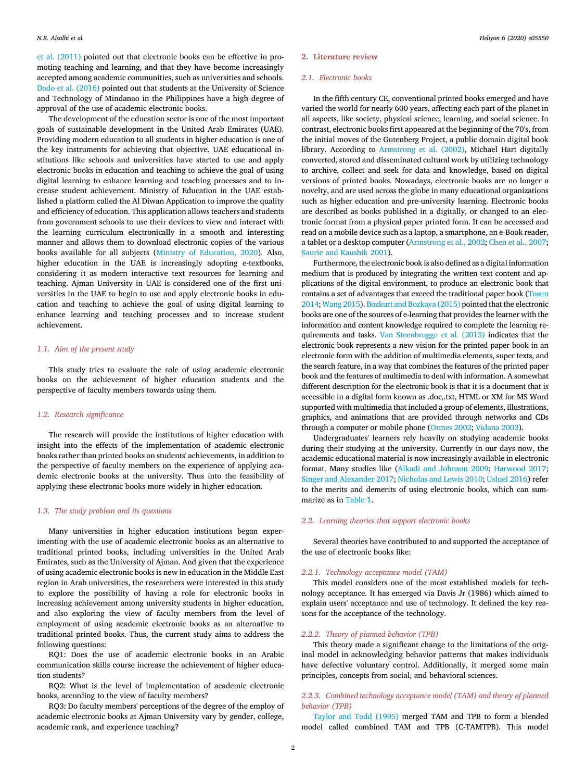et al. (2011) pointed out that electronic books can be effective in promoting teaching and learning, and that they have become increasingly accepted among academic communities, such as universities and schools. Dado et al. (2016) pointed out that students at the University of Science and Technology of Mindanao in the Philippines have a high degree of approval of the use of academic electronic books.

The development of the education sector is one of the most important goals of sustainable development in the United Arab Emirates (UAE). Providing modern education to all students in higher education is one of the key instruments for achieving that objective. UAE educational institutions like schools and universities have started to use and apply electronic books in education and teaching to achieve the goal of using digital learning to enhance learning and teaching processes and to increase student achievement. Ministry of Education in the UAE established a platform called the Al Diwan Application to improve the quality and efficiency of education. This application allows teachers and students from government schools to use their devices to view and interact with the learning curriculum electronically in a smooth and interesting manner and allows them to download electronic copies of the various books available for all subjects (Ministry of Education, 2020). Also, higher education in the UAE is increasingly adopting e-textbooks, considering it as modern interactive text resources for learning and teaching. Ajman University in UAE is considered one of the first universities in the UAE to begin to use and apply electronic books in education and teaching to achieve the goal of using digital learning to enhance learning and teaching processes and to increase student achievement.

# *1.1. Aim of the present study*

This study tries to evaluate the role of using academic electronic books on the achievement of higher education students and the perspective of faculty members towards using them.

## *1.2. Research signi*fi*cance*

The research will provide the institutions of higher education with insight into the effects of the implementation of academic electronic books rather than printed books on students' achievements, in addition to the perspective of faculty members on the experience of applying academic electronic books at the university. Thus into the feasibility of applying these electronic books more widely in higher education.

# *1.3. The study problem and its questions*

Many universities in higher education institutions began experimenting with the use of academic electronic books as an alternative to traditional printed books, including universities in the United Arab Emirates, such as the University of Ajman. And given that the experience of using academic electronic books is new in education in the Middle East region in Arab universities, the researchers were interested in this study to explore the possibility of having a role for electronic books in increasing achievement among university students in higher education, and also exploring the view of faculty members from the level of employment of using academic electronic books as an alternative to traditional printed books. Thus, the current study aims to address the following questions:

RQ1: Does the use of academic electronic books in an Arabic communication skills course increase the achievement of higher education students?

RQ2: What is the level of implementation of academic electronic books, according to the view of faculty members?

RQ3: Do faculty members' perceptions of the degree of the employ of academic electronic books at Ajman University vary by gender, college, academic rank, and experience teaching?

# 2. Literature review

#### *2.1. Electronic books*

In the fifth century CE, conventional printed books emerged and have varied the world for nearly 600 years, affecting each part of the planet in all aspects, like society, physical science, learning, and social science. In contrast, electronic books first appeared at the beginning of the 70's, from the initial moves of the Gutenberg Project, a public domain digital book library. According to Armstrong et al. (2002), Michael Hart digitally converted, stored and disseminated cultural work by utilizing technology to archive, collect and seek for data and knowledge, based on digital versions of printed books. Nowadays, electronic books are no longer a novelty, and are used across the globe in many educational organizations such as higher education and pre-university learning. Electronic books are described as books published in a digitally, or changed to an electronic format from a physical paper printed form. It can be accessed and read on a mobile device such as a laptop, a smartphone, an e-Book reader, a tablet or a desktop computer (Armstrong et al., 2002; Chen et al., 2007; Saurie and Kaushik 2001).

Furthermore, the electronic book is also defined as a digital information medium that is produced by integrating the written text content and applications of the digital environment, to produce an electronic book that contains a set of advantages that exceed the traditional paper book (Tosun 2014; Wang 2015). Bozkurt and Bozkaya (2015) pointed that the electronic books are one of the sources of e-learning that provides the learner with the information and content knowledge required to complete the learning requirements and tasks. Van Steenbrugge et al. (2013) indicates that the electronic book represents a new vision for the printed paper book in an electronic form with the addition of multimedia elements, super texts, and the search feature, in a way that combines the features of the printed paper book and the features of multimedia to deal with information. A somewhat different description for the electronic book is that it is a document that is accessible in a digital form known as .doc,.txt, HTML or XM for MS Word supported with multimedia that included a group of elements, illustrations, graphics, and animations that are provided through networks and CDs through a computer or mobile phone (Ormes 2002; Vidana 2003).

Undergraduates' learners rely heavily on studying academic books during their studying at the university. Currently in our days now, the academic educational material is now increasingly available in electronic format. Many studies like (Alkadi and Johnson 2009; Harwood 2017; Singer and Alexander 2017; Nicholas and Lewis 2010; Usluel 2016) refer to the merits and demerits of using electronic books, which can summarize as in Table 1.

# *2.2. Learning theories that support electronic books*

Several theories have contributed to and supported the acceptance of the use of electronic books like:

# *2.2.1. Technology acceptance model (TAM)*

This model considers one of the most established models for technology acceptance. It has emerged via Davis Jr (1986) which aimed to explain users' acceptance and use of technology. It defined the key reasons for the acceptance of the technology.

#### *2.2.2. Theory of planned behavior (TPB)*

This theory made a significant change to the limitations of the original model in acknowledging behavior patterns that makes individuals have defective voluntary control. Additionally, it merged some main principles, concepts from social, and behavioral sciences.

# *2.2.3. Combined technology acceptance model (TAM) and theory of planned behavior (TPB)*

Taylor and Todd (1995) merged TAM and TPB to form a blended model called combined TAM and TPB (C-TAMTPB). This model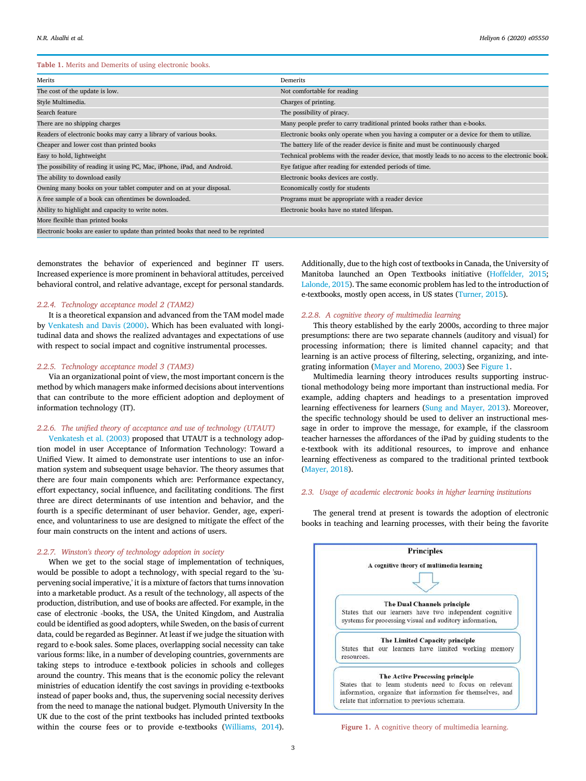#### *N.R. Alsalhi et al. Heliyon 6 (2020) e05550*

#### Table 1. Merits and Demerits of using electronic books.

| Merits                                                                             | Demerits                                                                                          |
|------------------------------------------------------------------------------------|---------------------------------------------------------------------------------------------------|
| The cost of the update is low.                                                     | Not comfortable for reading                                                                       |
| Style Multimedia.                                                                  | Charges of printing.                                                                              |
| Search feature                                                                     | The possibility of piracy.                                                                        |
| There are no shipping charges                                                      | Many people prefer to carry traditional printed books rather than e-books.                        |
| Readers of electronic books may carry a library of various books.                  | Electronic books only operate when you having a computer or a device for them to utilize.         |
| Cheaper and lower cost than printed books                                          | The battery life of the reader device is finite and must be continuously charged                  |
| Easy to hold, lightweight                                                          | Technical problems with the reader device, that mostly leads to no access to the electronic book. |
| The possibility of reading it using PC, Mac, iPhone, iPad, and Android.            | Eye fatigue after reading for extended periods of time.                                           |
| The ability to download easily                                                     | Electronic books devices are costly.                                                              |
| Owning many books on your tablet computer and on at your disposal.                 | Economically costly for students                                                                  |
| A free sample of a book can oftentimes be downloaded.                              | Programs must be appropriate with a reader device                                                 |
| Ability to highlight and capacity to write notes.                                  | Electronic books have no stated lifespan.                                                         |
| More flexible than printed books                                                   |                                                                                                   |
| Electronic books are easier to update than printed books that need to be reprinted |                                                                                                   |

demonstrates the behavior of experienced and beginner IT users. Increased experience is more prominent in behavioral attitudes, perceived behavioral control, and relative advantage, except for personal standards.

# *2.2.4. Technology acceptance model 2 (TAM2)*

It is a theoretical expansion and advanced from the TAM model made by Venkatesh and Davis (2000). Which has been evaluated with longitudinal data and shows the realized advantages and expectations of use with respect to social impact and cognitive instrumental processes.

# *2.2.5. Technology acceptance model 3 (TAM3)*

Via an organizational point of view, the most important concern is the method by which managers make informed decisions about interventions that can contribute to the more efficient adoption and deployment of information technology (IT).

# *2.2.6. The uni*fi*ed theory of acceptance and use of technology (UTAUT)*

Venkatesh et al. (2003) proposed that UTAUT is a technology adoption model in user Acceptance of Information Technology: Toward a Unified View. It aimed to demonstrate user intentions to use an information system and subsequent usage behavior. The theory assumes that there are four main components which are: Performance expectancy, effort expectancy, social influence, and facilitating conditions. The first three are direct determinants of use intention and behavior, and the fourth is a specific determinant of user behavior. Gender, age, experience, and voluntariness to use are designed to mitigate the effect of the four main constructs on the intent and actions of users.

# *2.2.7. Winston's theory of technology adoption in society*

When we get to the social stage of implementation of techniques, would be possible to adopt a technology, with special regard to the 'supervening social imperative,' it is a mixture of factors that turns innovation into a marketable product. As a result of the technology, all aspects of the production, distribution, and use of books are affected. For example, in the case of electronic -books, the USA, the United Kingdom, and Australia could be identified as good adopters, while Sweden, on the basis of current data, could be regarded as Beginner. At least if we judge the situation with regard to e-book sales. Some places, overlapping social necessity can take various forms: like, in a number of developing countries, governments are taking steps to introduce e-textbook policies in schools and colleges around the country. This means that is the economic policy the relevant ministries of education identify the cost savings in providing e-textbooks instead of paper books and, thus, the supervening social necessity derives from the need to manage the national budget. Plymouth University In the UK due to the cost of the print textbooks has included printed textbooks within the course fees or to provide e-textbooks (Williams, 2014).

Additionally, due to the high cost of textbooks in Canada, the University of Manitoba launched an Open Textbooks initiative (Hoffelder, 2015; Lalonde, 2015). The same economic problem has led to the introduction of e-textbooks, mostly open access, in US states (Turner, 2015).

## *2.2.8. A cognitive theory of multimedia learning*

This theory established by the early 2000s, according to three major presumptions: there are two separate channels (auditory and visual) for processing information; there is limited channel capacity; and that learning is an active process of filtering, selecting, organizing, and integrating information (Mayer and Moreno, 2003) See Figure 1.

Multimedia learning theory introduces results supporting instructional methodology being more important than instructional media. For example, adding chapters and headings to a presentation improved learning effectiveness for learners (Sung and Mayer, 2013). Moreover, the specific technology should be used to deliver an instructional message in order to improve the message, for example, if the classroom teacher harnesses the affordances of the iPad by guiding students to the e-textbook with its additional resources, to improve and enhance learning effectiveness as compared to the traditional printed textbook (Mayer, 2018).

# *2.3. Usage of academic electronic books in higher learning institutions*

The general trend at present is towards the adoption of electronic books in teaching and learning processes, with their being the favorite



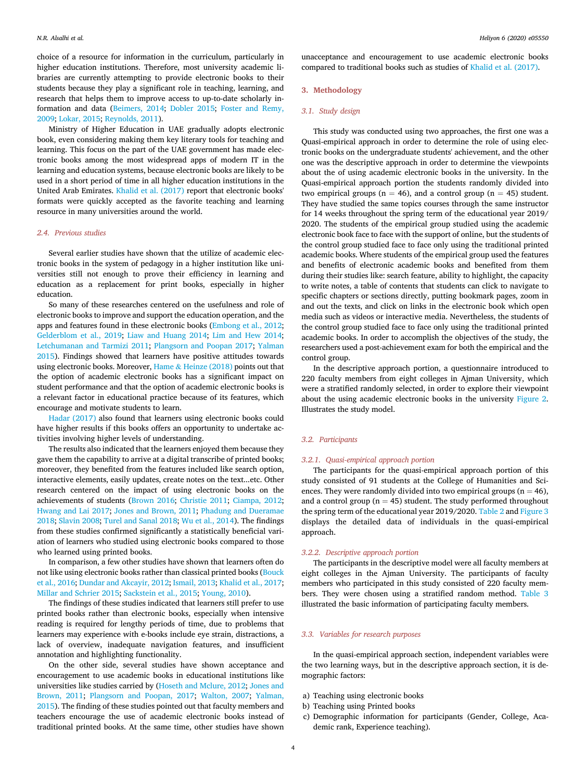choice of a resource for information in the curriculum, particularly in higher education institutions. Therefore, most university academic libraries are currently attempting to provide electronic books to their students because they play a significant role in teaching, learning, and research that helps them to improve access to up-to-date scholarly information and data (Beimers, 2014; Dobler 2015; Foster and Remy, 2009; Lokar, 2015; Reynolds, 2011).

Ministry of Higher Education in UAE gradually adopts electronic book, even considering making them key literary tools for teaching and learning. This focus on the part of the UAE government has made electronic books among the most widespread apps of modern IT in the learning and education systems, because electronic books are likely to be used in a short period of time in all higher education institutions in the United Arab Emirates. Khalid et al. (2017) report that electronic books' formats were quickly accepted as the favorite teaching and learning resource in many universities around the world.

# *2.4. Previous studies*

Several earlier studies have shown that the utilize of academic electronic books in the system of pedagogy in a higher institution like universities still not enough to prove their efficiency in learning and education as a replacement for print books, especially in higher education.

So many of these researches centered on the usefulness and role of electronic books to improve and support the education operation, and the apps and features found in these electronic books (Embong et al., 2012; Gelderblom et al., 2019; Liaw and Huang 2014; Lim and Hew 2014; Letchumanan and Tarmizi 2011; Plangsorn and Poopan 2017; Yalman 2015). Findings showed that learners have positive attitudes towards using electronic books. Moreover, Hame & Heinze (2018) points out that the option of academic electronic books has a significant impact on student performance and that the option of academic electronic books is a relevant factor in educational practice because of its features, which encourage and motivate students to learn.

Hadar (2017) also found that learners using electronic books could have higher results if this books offers an opportunity to undertake activities involving higher levels of understanding.

The results also indicated that the learners enjoyed them because they gave them the capability to arrive at a digital transcribe of printed books; moreover, they benefited from the features included like search option, interactive elements, easily updates, create notes on the text...etc. Other research centered on the impact of using electronic books on the achievements of students (Brown 2016; Christie 2011; Ciampa, 2012; Hwang and Lai 2017; Jones and Brown, 2011; Phadung and Dueramae 2018; Slavin 2008; Turel and Sanal 2018; Wu et al., 2014). The findings from these studies confirmed significantly a statistically beneficial variation of learners who studied using electronic books compared to those who learned using printed books.

In comparison, a few other studies have shown that learners often do not like using electronic books rather than classical printed books (Bouck et al., 2016; Dundar and Akcayir, 2012; Ismail, 2013; Khalid et al., 2017; Millar and Schrier 2015; Sackstein et al., 2015; Young, 2010).

The findings of these studies indicated that learners still prefer to use printed books rather than electronic books, especially when intensive reading is required for lengthy periods of time, due to problems that learners may experience with e-books include eye strain, distractions, a lack of overview, inadequate navigation features, and insufficient annotation and highlighting functionality.

On the other side, several studies have shown acceptance and encouragement to use academic books in educational institutions like universities like studies carried by (Hoseth and Mclure, 2012; Jones and Brown, 2011; Plangsorn and Poopan, 2017; Walton, 2007; Yalman, 2015). The finding of these studies pointed out that faculty members and teachers encourage the use of academic electronic books instead of traditional printed books. At the same time, other studies have shown

unacceptance and encouragement to use academic electronic books compared to traditional books such as studies of Khalid et al. (2017).

#### 3. Methodology

#### *3.1. Study design*

This study was conducted using two approaches, the first one was a Quasi-empirical approach in order to determine the role of using electronic books on the undergraduate students' achievement, and the other one was the descriptive approach in order to determine the viewpoints about the of using academic electronic books in the university. In the Quasi-empirical approach portion the students randomly divided into two empirical groups ( $n = 46$ ), and a control group ( $n = 45$ ) student. They have studied the same topics courses through the same instructor for 14 weeks throughout the spring term of the educational year 2019/ 2020. The students of the empirical group studied using the academic electronic book face to face with the support of online, but the students of the control group studied face to face only using the traditional printed academic books. Where students of the empirical group used the features and benefits of electronic academic books and benefited from them during their studies like: search feature, ability to highlight, the capacity to write notes, a table of contents that students can click to navigate to specific chapters or sections directly, putting bookmark pages, zoom in and out the texts, and click on links in the electronic book which open media such as videos or interactive media. Nevertheless, the students of the control group studied face to face only using the traditional printed academic books. In order to accomplish the objectives of the study, the researchers used a post-achievement exam for both the empirical and the control group.

In the descriptive approach portion, a questionnaire introduced to 220 faculty members from eight colleges in Ajman University, which were a stratified randomly selected, in order to explore their viewpoint about the using academic electronic books in the university Figure 2. Illustrates the study model.

#### *3.2. Participants*

#### *3.2.1. Quasi-empirical approach portion*

The participants for the quasi-empirical approach portion of this study consisted of 91 students at the College of Humanities and Sciences. They were randomly divided into two empirical groups ( $n = 46$ ), and a control group ( $n = 45$ ) student. The study performed throughout the spring term of the educational year 2019/2020. Table 2 and Figure 3 displays the detailed data of individuals in the quasi-empirical approach.

# *3.2.2. Descriptive approach portion*

The participants in the descriptive model were all faculty members at eight colleges in the Ajman University. The participants of faculty members who participated in this study consisted of 220 faculty members. They were chosen using a stratified random method. Table 3 illustrated the basic information of participating faculty members.

## *3.3. Variables for research purposes*

In the quasi-empirical approach section, independent variables were the two learning ways, but in the descriptive approach section, it is demographic factors:

- a) Teaching using electronic books
- b) Teaching using Printed books
- c) Demographic information for participants (Gender, College, Academic rank, Experience teaching).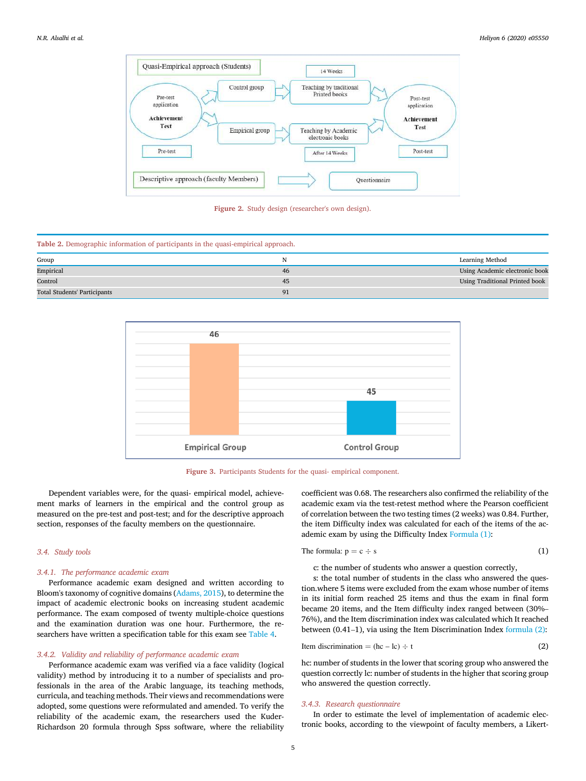

Figure 2. Study design (researcher's own design).

#### Table 2. Demographic information of participants in the quasi-empirical approach.

| Group                               |    | Learning Method                |
|-------------------------------------|----|--------------------------------|
| Empirical                           | 46 | Using Academic electronic book |
| Control                             | 45 | Using Traditional Printed book |
| <b>Total Students' Participants</b> | 91 |                                |



Figure 3. Participants Students for the quasi- empirical component.

Dependent variables were, for the quasi- empirical model, achievement marks of learners in the empirical and the control group as measured on the pre-test and post-test; and for the descriptive approach section, responses of the faculty members on the questionnaire.

# *3.4. Study tools*

# *3.4.1. The performance academic exam*

Performance academic exam designed and written according to Bloom's taxonomy of cognitive domains (Adams, 2015), to determine the impact of academic electronic books on increasing student academic performance. The exam composed of twenty multiple-choice questions and the examination duration was one hour. Furthermore, the researchers have written a specification table for this exam see Table 4.

#### *3.4.2. Validity and reliability of performance academic exam*

Performance academic exam was verified via a face validity (logical validity) method by introducing it to a number of specialists and professionals in the area of the Arabic language, its teaching methods, curricula, and teaching methods. Their views and recommendations were adopted, some questions were reformulated and amended. To verify the reliability of the academic exam, the researchers used the Kuder-Richardson 20 formula through Spss software, where the reliability

coefficient was 0.68. The researchers also confirmed the reliability of the academic exam via the test-retest method where the Pearson coefficient of correlation between the two testing times (2 weeks) was 0.84. Further, the item Difficulty index was calculated for each of the items of the academic exam by using the Difficulty Index Formula (1):

The formula: 
$$
p = c \div s
$$
 (1)

## c: the number of students who answer a question correctly,

s: the total number of students in the class who answered the question.where 5 items were excluded from the exam whose number of items in its initial form reached 25 items and thus the exam in final form became 20 items, and the Item difficulty index ranged between (30%– 76%), and the Item discrimination index was calculated which It reached between (0.41–1), via using the Item Discrimination Index formula (2):

Item discrimination = 
$$
(hc - lc) \div t
$$
 (2)

hc: number of students in the lower that scoring group who answered the question correctly lc: number of students in the higher that scoring group who answered the question correctly.

#### *3.4.3. Research questionnaire*

In order to estimate the level of implementation of academic electronic books, according to the viewpoint of faculty members, a Likert-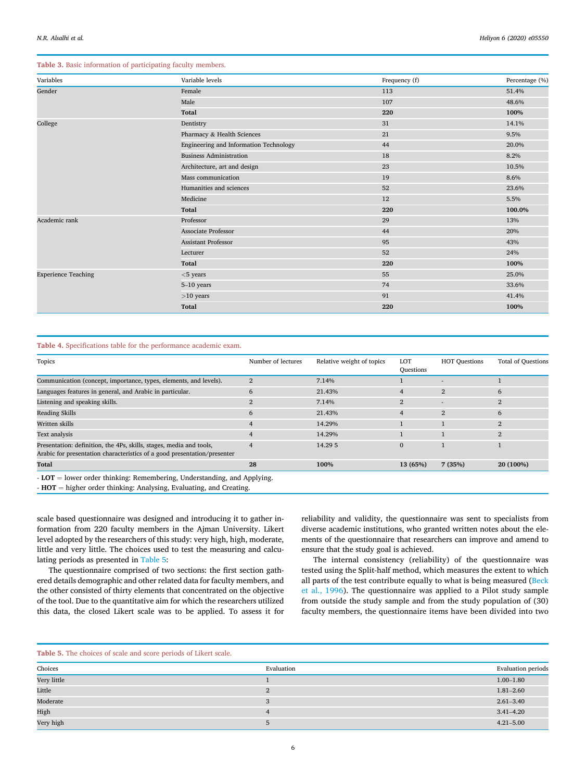#### *N.R. Alsalhi et al. Heliyon 6 (2020) e05550*

#### Table 3. Basic information of participating faculty members.

| Variables                  | Variable levels                        | Frequency (f) | Percentage (%) |
|----------------------------|----------------------------------------|---------------|----------------|
| Gender                     | Female                                 | 113           | 51.4%          |
|                            | Male                                   | 107           | 48.6%          |
|                            | <b>Total</b>                           | 220           | 100%           |
| College                    | Dentistry                              | 31            | 14.1%          |
|                            | Pharmacy & Health Sciences             | 21            | 9.5%           |
|                            | Engineering and Information Technology | 44            | 20.0%          |
|                            | <b>Business Administration</b>         | 18            | 8.2%           |
|                            | Architecture, art and design           | 23            | 10.5%          |
|                            | Mass communication                     | 19            | 8.6%           |
|                            | Humanities and sciences                | 52            | 23.6%          |
|                            | Medicine                               | 12            | 5.5%           |
|                            | <b>Total</b>                           | 220           | 100.0%         |
| Academic rank              | Professor                              | 29            | 13%            |
|                            | <b>Associate Professor</b>             | 44            | 20%            |
|                            | <b>Assistant Professor</b>             | 95            | 43%            |
|                            | Lecturer                               | 52            | 24%            |
|                            | <b>Total</b>                           | 220           | 100%           |
| <b>Experience Teaching</b> | $<$ 5 years                            | 55            | 25.0%          |
|                            | $5-10$ years                           | 74            | 33.6%          |
|                            | $>10$ years                            | 91            | 41.4%          |
|                            | Total                                  | 220           | 100%           |

#### Table 4. Specifications table for the performance academic exam.

| Number of lectures | Relative weight of topics | LOT<br><b>Questions</b> | <b>HOT Questions</b> | <b>Total of Questions</b> |
|--------------------|---------------------------|-------------------------|----------------------|---------------------------|
| $\overline{2}$     | 7.14%                     |                         |                      |                           |
| 6                  | 21.43%                    | 4                       | $\mathbf{2}$         | 6                         |
| $\overline{2}$     | 7.14%                     | $\overline{2}$          |                      | $\mathbf{2}$              |
| 6                  | 21.43%                    | 4                       | $\mathbf{2}$         | 6                         |
| 4                  | 14.29%                    |                         |                      | $\overline{2}$            |
| 4                  | 14.29%                    |                         |                      | $\overline{2}$            |
| 4                  | 14.29 5                   | $\Omega$                |                      |                           |
| 28                 | 100%                      | 13 (65%)                | 7(35%)               | 20 (100%)                 |
|                    |                           |                         |                      |                           |

 $-$  HOT  $=$  higher order thinking: Analysing, Evaluating, and Creating.

scale based questionnaire was designed and introducing it to gather information from 220 faculty members in the Ajman University. Likert level adopted by the researchers of this study: very high, high, moderate, little and very little. The choices used to test the measuring and calculating periods as presented in Table 5:

The questionnaire comprised of two sections: the first section gathered details demographic and other related data for faculty members, and the other consisted of thirty elements that concentrated on the objective of the tool. Due to the quantitative aim for which the researchers utilized this data, the closed Likert scale was to be applied. To assess it for

reliability and validity, the questionnaire was sent to specialists from diverse academic institutions, who granted written notes about the elements of the questionnaire that researchers can improve and amend to ensure that the study goal is achieved.

The internal consistency (reliability) of the questionnaire was tested using the Split-half method, which measures the extent to which all parts of the test contribute equally to what is being measured (Beck et al., 1996). The questionnaire was applied to a Pilot study sample from outside the study sample and from the study population of (30) faculty members, the questionnaire items have been divided into two

# Table 5. The choices of scale and score periods of Likert scale.

| Choices     | Evaluation     | <b>Evaluation</b> periods |
|-------------|----------------|---------------------------|
| Very little |                | $1.00 - 1.80$             |
| Little      | $\Omega$<br>∠  | $1.81 - 2.60$             |
| Moderate    | 3              | $2.61 - 3.40$             |
| High        | $\overline{a}$ | $3.41 - 4.20$             |
| Very high   | Ð              | $4.21 - 5.00$             |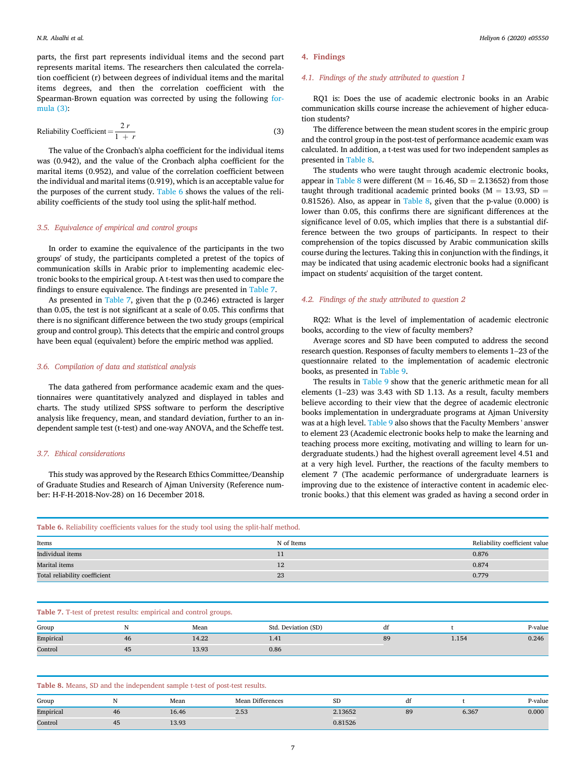parts, the first part represents individual items and the second part represents marital items. The researchers then calculated the correlation coefficient (r) between degrees of individual items and the marital items degrees, and then the correlation coefficient with the Spearman-Brown equation was corrected by using the following formula (3):

Reliability Coefficient = 
$$
\frac{2 r}{1 + r}
$$
 (3)

The value of the Cronbach's alpha coefficient for the individual items was (0.942), and the value of the Cronbach alpha coefficient for the marital items (0.952), and value of the correlation coefficient between the individual and marital items (0.919), which is an acceptable value for the purposes of the current study. Table 6 shows the values of the reliability coefficients of the study tool using the split-half method.

# *3.5. Equivalence of empirical and control groups*

In order to examine the equivalence of the participants in the two groups' of study, the participants completed a pretest of the topics of communication skills in Arabic prior to implementing academic electronic books to the empirical group. A t-test was then used to compare the findings to ensure equivalence. The findings are presented in Table 7.

As presented in Table 7, given that the p (0.246) extracted is larger than 0.05, the test is not significant at a scale of 0.05. This confirms that there is no significant difference between the two study groups (empirical group and control group). This detects that the empiric and control groups have been equal (equivalent) before the empiric method was applied.

# *3.6. Compilation of data and statistical analysis*

The data gathered from performance academic exam and the questionnaires were quantitatively analyzed and displayed in tables and charts. The study utilized SPSS software to perform the descriptive analysis like frequency, mean, and standard deviation, further to an independent sample test (t-test) and one-way ANOVA, and the Scheffe test.

#### *3.7. Ethical considerations*

This study was approved by the Research Ethics Committee/Deanship of Graduate Studies and Research of Ajman University (Reference number: H-F-H-2018-Nov-28) on 16 December 2018.

#### 4. Findings

#### *4.1. Findings of the study attributed to question 1*

RQ1 is: Does the use of academic electronic books in an Arabic communication skills course increase the achievement of higher education students?

The difference between the mean student scores in the empiric group and the control group in the post-test of performance academic exam was calculated. In addition, a t-test was used for two independent samples as presented in Table 8.

The students who were taught through academic electronic books, appear in Table 8 were different ( $M = 16.46$ ,  $SD = 2.13652$ ) from those taught through traditional academic printed books ( $M = 13.93$ , SD = 0.81526). Also, as appear in Table 8, given that the p-value  $(0.000)$  is lower than 0.05, this confirms there are significant differences at the significance level of 0.05, which implies that there is a substantial difference between the two groups of participants. In respect to their comprehension of the topics discussed by Arabic communication skills course during the lectures. Taking this in conjunction with the findings, it may be indicated that using academic electronic books had a significant impact on students' acquisition of the target content.

# *4.2. Findings of the study attributed to question 2*

RQ2: What is the level of implementation of academic electronic books, according to the view of faculty members?

Average scores and SD have been computed to address the second research question. Responses of faculty members to elements 1–23 of the questionnaire related to the implementation of academic electronic books, as presented in Table 9.

The results in Table 9 show that the generic arithmetic mean for all elements (1–23) was 3.43 with SD 1.13. As a result, faculty members believe according to their view that the degree of academic electronic books implementation in undergraduate programs at Ajman University was at a high level. Table 9 also shows that the Faculty Members ' answer to element 23 (Academic electronic books help to make the learning and teaching process more exciting, motivating and willing to learn for undergraduate students.) had the highest overall agreement level 4.51 and at a very high level. Further, the reactions of the faculty members to element 7 (The academic performance of undergraduate learners is improving due to the existence of interactive content in academic electronic books.) that this element was graded as having a second order in

| Table 6. Reliability coefficients values for the study tool using the split-half method. |  |
|------------------------------------------------------------------------------------------|--|
|------------------------------------------------------------------------------------------|--|

| Items                         | N of Items | Reliability coefficient value |
|-------------------------------|------------|-------------------------------|
| Individual items              | . .        | 0.876                         |
| Marital items                 | 12         | 0.874                         |
| Total reliability coefficient | 23         | 0.779                         |
|                               |            |                               |

Table 7. T-test of pretest results: empirical and control groups.

| Group     |    | Mean  | Std. Deviation (SD) |    |       | P-value |
|-----------|----|-------|---------------------|----|-------|---------|
| Empirical | 46 | 14.22 | 1.41                | 89 | 1.154 | 0.246   |
| Control   | 45 | 13.93 | 0.86                |    |       |         |

| Table 8. Means, SD and the independent sample t-test of post-test results. |    |       |                  |         |    |       |         |  |
|----------------------------------------------------------------------------|----|-------|------------------|---------|----|-------|---------|--|
| Group                                                                      |    | Mean  | Mean Differences | SD      | đt |       | P-value |  |
| Empirical                                                                  | 46 | 16.46 | 2.53             | 2.13652 | 89 | 6.367 | 0.000   |  |
| Control                                                                    | 45 | 13.93 |                  | 0.81526 |    |       |         |  |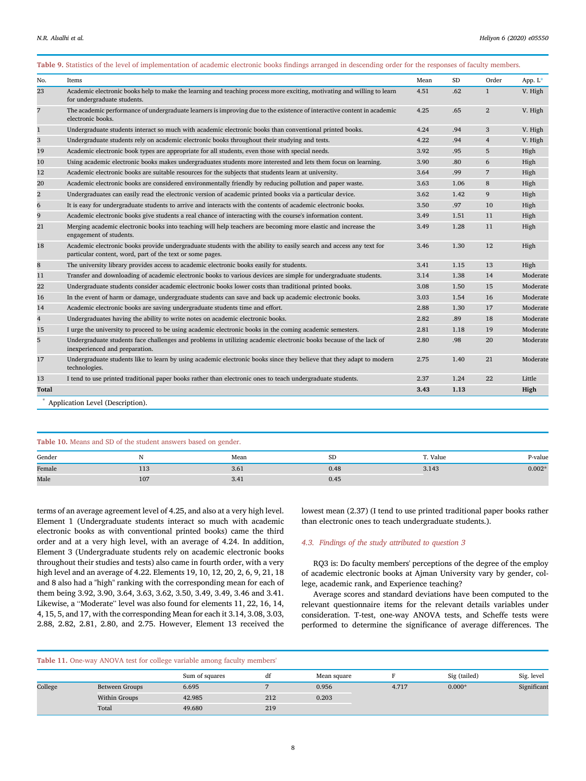| No.                     | Items                                                                                                                                                                           | Mean | <b>SD</b> | Order          | App. L*  |
|-------------------------|---------------------------------------------------------------------------------------------------------------------------------------------------------------------------------|------|-----------|----------------|----------|
| 23                      | Academic electronic books help to make the learning and teaching process more exciting, motivating and willing to learn<br>for undergraduate students.                          | 4.51 | .62       | $\mathbf{1}$   | V. High  |
| 7                       | The academic performance of undergraduate learners is improving due to the existence of interactive content in academic<br>electronic books.                                    | 4.25 | .65       | $\overline{2}$ | V. High  |
| $\mathbf{1}$            | Undergraduate students interact so much with academic electronic books than conventional printed books.                                                                         | 4.24 | .94       | 3              | V. High  |
| 3                       | Undergraduate students rely on academic electronic books throughout their studying and tests.                                                                                   | 4.22 | .94       | $\overline{4}$ | V. High  |
| 19                      | Academic electronic book types are appropriate for all students, even those with special needs.                                                                                 | 3.92 | .95       | 5              | High     |
| 10                      | Using academic electronic books makes undergraduates students more interested and lets them focus on learning.                                                                  | 3.90 | .80       | 6              | High     |
| 12                      | Academic electronic books are suitable resources for the subjects that students learn at university.                                                                            | 3.64 | .99       | 7              | High     |
| 20                      | Academic electronic books are considered environmentally friendly by reducing pollution and paper waste.                                                                        | 3.63 | 1.06      | 8              | High     |
| $\overline{2}$          | Undergraduates can easily read the electronic version of academic printed books via a particular device.                                                                        | 3.62 | 1.42      | 9              | High     |
| 6                       | It is easy for undergraduate students to arrive and interacts with the contents of academic electronic books.                                                                   | 3.50 | .97       | 10             | High     |
| 9                       | Academic electronic books give students a real chance of interacting with the course's information content.                                                                     | 3.49 | 1.51      | 11             | High     |
| 21                      | Merging academic electronic books into teaching will help teachers are becoming more elastic and increase the<br>engagement of students.                                        | 3.49 | 1.28      | 11             | High     |
| 18                      | Academic electronic books provide undergraduate students with the ability to easily search and access any text for<br>particular content, word, part of the text or some pages. | 3.46 | 1.30      | 12             | High     |
| 8                       | The university library provides access to academic electronic books easily for students.                                                                                        | 3.41 | 1.15      | 13             | High     |
| 11                      | Transfer and downloading of academic electronic books to various devices are simple for undergraduate students.                                                                 | 3.14 | 1.38      | 14             | Moderate |
| 22                      | Undergraduate students consider academic electronic books lower costs than traditional printed books.                                                                           | 3.08 | 1.50      | 15             | Moderate |
| 16                      | In the event of harm or damage, undergraduate students can save and back up academic electronic books.                                                                          | 3.03 | 1.54      | 16             | Moderate |
| 14                      | Academic electronic books are saving undergraduate students time and effort.                                                                                                    | 2.88 | 1.30      | 17             | Moderate |
| $\overline{\mathbf{4}}$ | Undergraduates having the ability to write notes on academic electronic books.                                                                                                  | 2.82 | .89       | 18             | Moderate |
| 15                      | I urge the university to proceed to be using academic electronic books in the coming academic semesters.                                                                        | 2.81 | 1.18      | 19             | Moderate |
| 5                       | Undergraduate students face challenges and problems in utilizing academic electronic books because of the lack of<br>inexperienced and preparation.                             | 2.80 | .98       | 20             | Moderate |
| 17                      | Undergraduate students like to learn by using academic electronic books since they believe that they adapt to modern<br>technologies.                                           | 2.75 | 1.40      | 21             | Moderate |
| 13                      | I tend to use printed traditional paper books rather than electronic ones to teach undergraduate students.                                                                      | 2.37 | 1.24      | 22             | Little   |
| Total                   |                                                                                                                                                                                 | 3.43 | 1.13      |                | High     |

| Table 9. Statistics of the level of implementation of academic electronic books findings arranged in descending order for the responses of faculty members |  |  |
|------------------------------------------------------------------------------------------------------------------------------------------------------------|--|--|
|                                                                                                                                                            |  |  |

| Table 10. Means and SD of the student answers based on gender. |     |      |      |          |          |  |
|----------------------------------------------------------------|-----|------|------|----------|----------|--|
| Gender                                                         |     | Mean | SD   | T. Value | P-value  |  |
| Female                                                         | 113 | 3.61 | 0.48 | 3.143    | $0.002*$ |  |
| Male                                                           | 107 | 3.41 | 0.45 |          |          |  |

terms of an average agreement level of 4.25, and also at a very high level. Element 1 (Undergraduate students interact so much with academic electronic books as with conventional printed books) came the third order and at a very high level, with an average of 4.24. In addition, Element 3 (Undergraduate students rely on academic electronic books throughout their studies and tests) also came in fourth order, with a very high level and an average of 4.22. Elements 19, 10, 12, 20, 2, 6, 9, 21, 18 and 8 also had a "high" ranking with the corresponding mean for each of them being 3.92, 3.90, 3.64, 3.63, 3.62, 3.50, 3.49, 3.49, 3.46 and 3.41. Likewise, a "Moderate" level was also found for elements 11, 22, 16, 14, 4, 15, 5, and 17, with the corresponding Mean for each it 3.14, 3.08, 3.03, 2.88, 2.82, 2.81, 2.80, and 2.75. However, Element 13 received the lowest mean (2.37) (I tend to use printed traditional paper books rather than electronic ones to teach undergraduate students.).

# *4.3. Findings of the study attributed to question 3*

RQ3 is: Do faculty members' perceptions of the degree of the employ of academic electronic books at Ajman University vary by gender, college, academic rank, and Experience teaching?

Average scores and standard deviations have been computed to the relevant questionnaire items for the relevant details variables under consideration. T-test, one-way ANOVA tests, and Scheffe tests were performed to determine the significance of average differences. The

|         |                | Table 11. One-way ANOVA test for college variable among faculty members' |     |             |       |              |             |
|---------|----------------|--------------------------------------------------------------------------|-----|-------------|-------|--------------|-------------|
|         |                | Sum of squares                                                           | df  | Mean square |       | Sig (tailed) | Sig. level  |
| College | Between Groups | 6.695                                                                    |     | 0.956       | 4.717 | $0.000*$     | Significant |
|         | Within Groups  | 42.985                                                                   | 212 | 0.203       |       |              |             |
|         | Total          | 49.680                                                                   | 219 |             |       |              |             |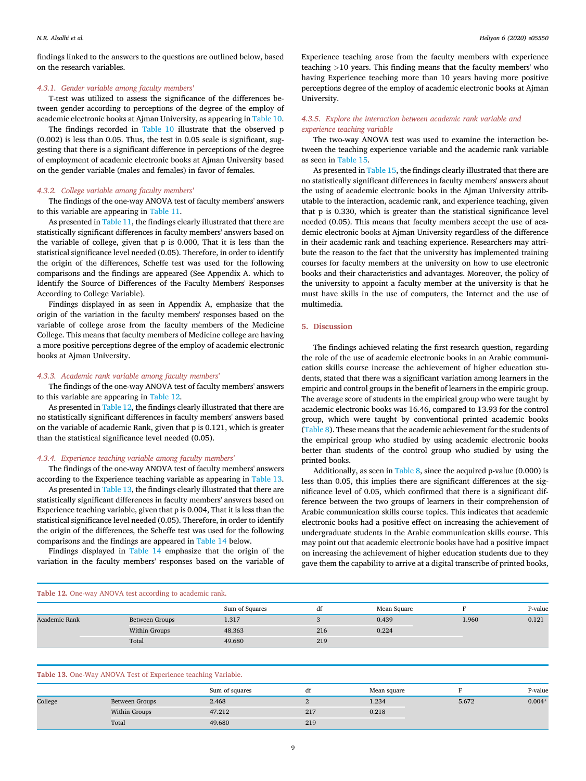findings linked to the answers to the questions are outlined below, based on the research variables.

## *4.3.1. Gender variable among faculty members'*

T-test was utilized to assess the significance of the differences between gender according to perceptions of the degree of the employ of academic electronic books at Ajman University, as appearing in Table 10.

The findings recorded in Table 10 illustrate that the observed p (0.002) is less than 0.05. Thus, the test in 0.05 scale is significant, suggesting that there is a significant difference in perceptions of the degree of employment of academic electronic books at Ajman University based on the gender variable (males and females) in favor of females.

#### *4.3.2. College variable among faculty members'*

The findings of the one-way ANOVA test of faculty members' answers to this variable are appearing in Table 11.

As presented in Table 11, the findings clearly illustrated that there are statistically significant differences in faculty members' answers based on the variable of college, given that p is 0.000, That it is less than the statistical significance level needed (0.05). Therefore, in order to identify the origin of the differences, Scheffe test was used for the following comparisons and the findings are appeared (See Appendix A. which to Identify the Source of Differences of the Faculty Members' Responses According to College Variable).

Findings displayed in as seen in Appendix A, emphasize that the origin of the variation in the faculty members' responses based on the variable of college arose from the faculty members of the Medicine College. This means that faculty members of Medicine college are having a more positive perceptions degree of the employ of academic electronic books at Ajman University.

#### *4.3.3. Academic rank variable among faculty members'*

The findings of the one-way ANOVA test of faculty members' answers to this variable are appearing in Table 12.

As presented in Table 12, the findings clearly illustrated that there are no statistically significant differences in faculty members' answers based on the variable of academic Rank, given that p is 0.121, which is greater than the statistical significance level needed (0.05).

## *4.3.4. Experience teaching variable among faculty members'*

The findings of the one-way ANOVA test of faculty members' answers according to the Experience teaching variable as appearing in Table 13.

As presented in Table 13, the findings clearly illustrated that there are statistically significant differences in faculty members' answers based on Experience teaching variable, given that p is 0.004, That it is less than the statistical significance level needed (0.05). Therefore, in order to identify the origin of the differences, the Scheffe test was used for the following comparisons and the findings are appeared in Table 14 below.

Findings displayed in Table 14 emphasize that the origin of the variation in the faculty members' responses based on the variable of

Experience teaching arose from the faculty members with experience teaching >10 years. This finding means that the faculty members' who having Experience teaching more than 10 years having more positive perceptions degree of the employ of academic electronic books at Ajman University.

# *4.3.5. Explore the interaction between academic rank variable and experience teaching variable*

The two-way ANOVA test was used to examine the interaction between the teaching experience variable and the academic rank variable as seen in Table 15.

As presented in Table 15, the findings clearly illustrated that there are no statistically significant differences in faculty members' answers about the using of academic electronic books in the Ajman University attributable to the interaction, academic rank, and experience teaching, given that p is 0.330, which is greater than the statistical significance level needed (0.05). This means that faculty members accept the use of academic electronic books at Ajman University regardless of the difference in their academic rank and teaching experience. Researchers may attribute the reason to the fact that the university has implemented training courses for faculty members at the university on how to use electronic books and their characteristics and advantages. Moreover, the policy of the university to appoint a faculty member at the university is that he must have skills in the use of computers, the Internet and the use of multimedia.

## 5. Discussion

The findings achieved relating the first research question, regarding the role of the use of academic electronic books in an Arabic communication skills course increase the achievement of higher education students, stated that there was a significant variation among learners in the empiric and control groups in the benefit of learners in the empiric group. The average score of students in the empirical group who were taught by academic electronic books was 16.46, compared to 13.93 for the control group, which were taught by conventional printed academic books (Table 8). These means that the academic achievement for the students of the empirical group who studied by using academic electronic books better than students of the control group who studied by using the printed books.

Additionally, as seen in Table 8, since the acquired p-value  $(0.000)$  is less than 0.05, this implies there are significant differences at the significance level of 0.05, which confirmed that there is a significant difference between the two groups of learners in their comprehension of Arabic communication skills course topics. This indicates that academic electronic books had a positive effect on increasing the achievement of undergraduate students in the Arabic communication skills course. This may point out that academic electronic books have had a positive impact on increasing the achievement of higher education students due to they gave them the capability to arrive at a digital transcribe of printed books,

# Table 12. One-way ANOVA test according to academic rank.

|               | $\sim$         |                |     |             |       |         |
|---------------|----------------|----------------|-----|-------------|-------|---------|
|               |                | Sum of Squares | αr  | Mean Square |       | P-value |
| Academic Rank | Between Groups | 1.317          |     | 0.439       | 1.960 | 0.121   |
|               | Within Groups  | 48.363         | 216 | 0.224       |       |         |
|               | Total          | 49.680         | 219 |             |       |         |

# Table 13. One-Way ANOVA Test of Experience teaching Variable.

|         |                | Sum of squares | αI  | Mean square |       | P-value  |
|---------|----------------|----------------|-----|-------------|-------|----------|
| College | Between Groups | 2.468          |     | 1.234       | 5.672 | $0.004*$ |
|         | Within Groups  | 47.212         | 217 | 0.218       |       |          |
|         | Total          | 49.680         | 219 |             |       |          |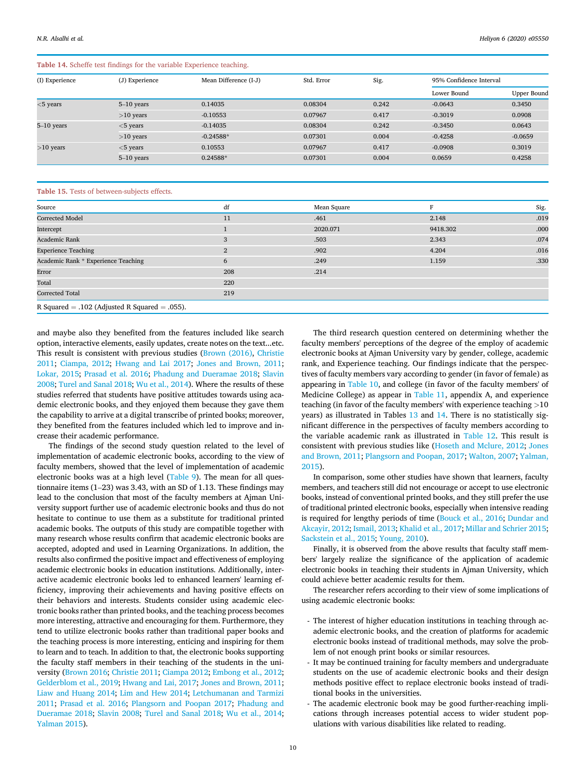#### Table 14. Scheffe test findings for the variable Experience teaching.

| (I) Experience | (J) Experience | Mean Difference (I-J) | Std. Error | Sig.  | 95% Confidence Interval |             |
|----------------|----------------|-----------------------|------------|-------|-------------------------|-------------|
|                |                |                       |            |       | Lower Bound             | Upper Bound |
| $<$ 5 years    | $5-10$ years   | 0.14035               | 0.08304    | 0.242 | $-0.0643$               | 0.3450      |
|                | $>10$ years    | $-0.10553$            | 0.07967    | 0.417 | $-0.3019$               | 0.0908      |
| $5-10$ years   | $<$ 5 years    | $-0.14035$            | 0.08304    | 0.242 | $-0.3450$               | 0.0643      |
|                | $>10$ years    | $-0.24588*$           | 0.07301    | 0.004 | $-0.4258$               | $-0.0659$   |
| $>10$ years    | $<$ 5 years    | 0.10553               | 0.07967    | 0.417 | $-0.0908$               | 0.3019      |
|                | $5-10$ years   | 0.24588*              | 0.07301    | 0.004 | 0.0659                  | 0.4258      |

#### Table 15. Tests of between-subjects effects.

| Source                                             | df             | Mean Square | F        | Sig. |
|----------------------------------------------------|----------------|-------------|----------|------|
| <b>Corrected Model</b>                             | 11             | .461        | 2.148    | .019 |
| Intercept                                          |                | 2020.071    | 9418.302 | .000 |
| Academic Rank                                      | 3              | .503        | 2.343    | .074 |
| <b>Experience Teaching</b>                         | $\overline{2}$ | .902        | 4.204    | .016 |
| Academic Rank * Experience Teaching                | 6              | .249        | 1.159    | .330 |
| Error                                              | 208            | .214        |          |      |
| Total                                              | 220            |             |          |      |
| <b>Corrected Total</b>                             | 219            |             |          |      |
| R Squared = $.102$ (Adjusted R Squared = $.055$ ). |                |             |          |      |

and maybe also they benefited from the features included like search option, interactive elements, easily updates, create notes on the text...etc. This result is consistent with previous studies (Brown (2016), Christie 2011; Ciampa, 2012; Hwang and Lai 2017; Jones and Brown, 2011; Lokar, 2015; Prasad et al. 2016; Phadung and Dueramae 2018; Slavin 2008; Turel and Sanal 2018; Wu et al., 2014). Where the results of these studies referred that students have positive attitudes towards using academic electronic books, and they enjoyed them because they gave them the capability to arrive at a digital transcribe of printed books; moreover, they benefited from the features included which led to improve and increase their academic performance.

The findings of the second study question related to the level of implementation of academic electronic books, according to the view of faculty members, showed that the level of implementation of academic electronic books was at a high level (Table 9). The mean for all questionnaire items (1–23) was 3.43, with an SD of 1.13. These findings may lead to the conclusion that most of the faculty members at Ajman University support further use of academic electronic books and thus do not hesitate to continue to use them as a substitute for traditional printed academic books. The outputs of this study are compatible together with many research whose results confirm that academic electronic books are accepted, adopted and used in Learning Organizations. In addition, the results also confirmed the positive impact and effectiveness of employing academic electronic books in education institutions. Additionally, interactive academic electronic books led to enhanced learners' learning efficiency, improving their achievements and having positive effects on their behaviors and interests. Students consider using academic electronic books rather than printed books, and the teaching process becomes more interesting, attractive and encouraging for them. Furthermore, they tend to utilize electronic books rather than traditional paper books and the teaching process is more interesting, enticing and inspiring for them to learn and to teach. In addition to that, the electronic books supporting the faculty staff members in their teaching of the students in the university (Brown 2016; Christie 2011; Ciampa 2012; Embong et al., 2012; Gelderblom et al., 2019; Hwang and Lai, 2017; Jones and Brown, 2011; Liaw and Huang 2014; Lim and Hew 2014; Letchumanan and Tarmizi 2011; Prasad et al. 2016; Plangsorn and Poopan 2017; Phadung and Dueramae 2018; Slavin 2008; Turel and Sanal 2018; Wu et al., 2014; Yalman 2015).

The third research question centered on determining whether the faculty members' perceptions of the degree of the employ of academic electronic books at Ajman University vary by gender, college, academic rank, and Experience teaching. Our findings indicate that the perspectives of faculty members vary according to gender (in favor of female) as appearing in Table 10, and college (in favor of the faculty members' of Medicine College) as appear in Table 11, appendix A, and experience teaching (in favor of the faculty members' with experience teaching >10 years) as illustrated in Tables 13 and 14. There is no statistically significant difference in the perspectives of faculty members according to the variable academic rank as illustrated in Table 12. This result is consistent with previous studies like (Hoseth and Mclure, 2012; Jones and Brown, 2011; Plangsorn and Poopan, 2017; Walton, 2007; Yalman, 2015).

In comparison, some other studies have shown that learners, faculty members, and teachers still did not encourage or accept to use electronic books, instead of conventional printed books, and they still prefer the use of traditional printed electronic books, especially when intensive reading is required for lengthy periods of time (Bouck et al., 2016; Dundar and Akcayir, 2012; Ismail, 2013; Khalid et al., 2017; Millar and Schrier 2015; Sackstein et al., 2015; Young, 2010).

Finally, it is observed from the above results that faculty staff members' largely realize the significance of the application of academic electronic books in teaching their students in Ajman University, which could achieve better academic results for them.

The researcher refers according to their view of some implications of using academic electronic books:

- The interest of higher education institutions in teaching through academic electronic books, and the creation of platforms for academic electronic books instead of traditional methods, may solve the problem of not enough print books or similar resources.
- It may be continued training for faculty members and undergraduate students on the use of academic electronic books and their design methods positive effect to replace electronic books instead of traditional books in the universities.
- The academic electronic book may be good further-reaching implications through increases potential access to wider student populations with various disabilities like related to reading.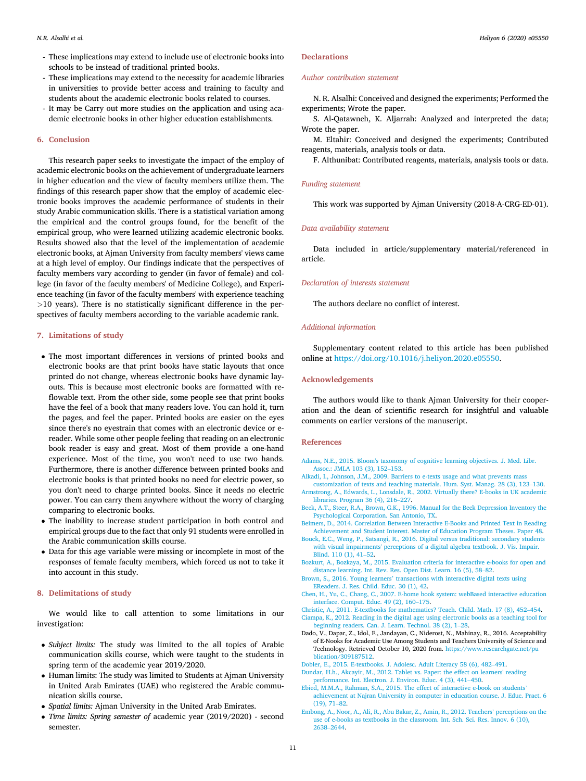- These implications may extend to include use of electronic books into schools to be instead of traditional printed books.
- These implications may extend to the necessity for academic libraries in universities to provide better access and training to faculty and students about the academic electronic books related to courses.
- It may be Carry out more studies on the application and using academic electronic books in other higher education establishments.

#### 6. Conclusion

This research paper seeks to investigate the impact of the employ of academic electronic books on the achievement of undergraduate learners in higher education and the view of faculty members utilize them. The findings of this research paper show that the employ of academic electronic books improves the academic performance of students in their study Arabic communication skills. There is a statistical variation among the empirical and the control groups found, for the benefit of the empirical group, who were learned utilizing academic electronic books. Results showed also that the level of the implementation of academic electronic books, at Ajman University from faculty members' views came at a high level of employ. Our findings indicate that the perspectives of faculty members vary according to gender (in favor of female) and college (in favor of the faculty members' of Medicine College), and Experience teaching (in favor of the faculty members' with experience teaching >10 years). There is no statistically significant difference in the perspectives of faculty members according to the variable academic rank.

#### 7. Limitations of study

- The most important differences in versions of printed books and electronic books are that print books have static layouts that once printed do not change, whereas electronic books have dynamic layouts. This is because most electronic books are formatted with reflowable text. From the other side, some people see that print books have the feel of a book that many readers love. You can hold it, turn the pages, and feel the paper. Printed books are easier on the eyes since there's no eyestrain that comes with an electronic device or ereader. While some other people feeling that reading on an electronic book reader is easy and great. Most of them provide a one-hand experience. Most of the time, you won't need to use two hands. Furthermore, there is another difference between printed books and electronic books is that printed books no need for electric power, so you don't need to charge printed books. Since it needs no electric power. You can carry them anywhere without the worry of charging comparing to electronic books.
- The inability to increase student participation in both control and empirical groups due to the fact that only 91 students were enrolled in the Arabic communication skills course.
- Data for this age variable were missing or incomplete in most of the responses of female faculty members, which forced us not to take it into account in this study.

## 8. Delimitations of study

We would like to call attention to some limitations in our investigation:

- *Subject limits:* The study was limited to the all topics of Arabic communication skills course, which were taught to the students in spring term of the academic year 2019/2020.
- Human limits: The study was limited to Students at Ajman University in United Arab Emirates (UAE) who registered the Arabic communication skills course.
- *Spatial limits:* Ajman University in the United Arab Emirates.
- *Time limits: Spring semester of* academic year (2019/2020) second semester.

#### Declarations

#### *Author contribution statement*

N. R. Alsalhi: Conceived and designed the experiments; Performed the experiments; Wrote the paper.

S. Al-Qatawneh, K. Aljarrah: Analyzed and interpreted the data; Wrote the paper.

M. Eltahir: Conceived and designed the experiments; Contributed reagents, materials, analysis tools or data.

F. Althunibat: Contributed reagents, materials, analysis tools or data.

#### *Funding statement*

This work was supported by Ajman University (2018-A-CRG-ED-01).

#### *Data availability statement*

Data included in article/supplementary material/referenced in article.

#### *Declaration of interests statement*

The authors declare no conflict of interest.

# *Additional information*

Supplementary content related to this article has been published online at https://doi.org/10.1016/j.heliyon.2020.e05550.

#### Acknowledgements

The authors would like to thank Ajman University for their cooperation and the dean of scientific research for insightful and valuable comments on earlier versions of the manuscript.

#### References

- Adams, N.E., 2015. Bloom's taxonomy of cognitive learning objectives. J. Med. Libr. Assoc.: JMLA 103 (3), 152–153.
- Alkadi, I., Johnson, J.M., 2009. Barriers to e-texts usage and what prevents mass
- customization of texts and teaching materials. Hum. Syst. Manag. 28 (3), 123–130. Armstrong, A., Edwards, L., Lonsdale, R., 2002. Virtually there? E-books in UK academic libraries. Program 36 (4), 216–227.
- Beck, A.T., Steer, R.A., Brown, G.K., 1996. Manual for the Beck Depression Inventory the Psychological Corporation. San Antonio, TX.

Beimers, D., 2014. Correlation Between Interactive E-Books and Printed Text in Reading Achievement and Student Interest. Master of Education Program Theses. Paper 48.

- Bouck, E.C., Weng, P., Satsangi, R., 2016. Digital versus traditional: secondary students with visual impairments' perceptions of a digital algebra textbook. J. Vis. Impair. Blind. 110 (1), 41–52.
- Bozkurt, A., Bozkaya, M., 2015. Evaluation criteria for interactive e-books for open and distance learning. Int. Rev. Res. Open Dist. Learn. 16 (5), 58–82.
- Brown, S., 2016. Young learners' transactions with interactive digital texts using EReaders. J. Res. Child. Educ. 30 (1), 42.

Chen, H., Yu, C., Chang, C., 2007. E-home book system: webBased interactive education interface. Comput. Educ. 49 (2), 160–175.

- Christie, A., 2011. E-textbooks for mathematics? Teach. Child. Math. 17 (8), 452–454.
- Ciampa, K., 2012. Reading in the digital age: using electronic books as a teaching tool for beginning readers. Can. J. Learn. Technol. 38 (2), 1–28.
- Dado, V., Dapar, Z., Idol, F., Jandayan, C., Niderost, N., Mahinay, R., 2016. Acceptability of E-Nooks for Academic Use Among Students and Teachers University of Science and Technology. Retrieved October 10, 2020 from. https://www.researchgate.net/pu blication/309187512.
- Dobler, E., 2015. E-textbooks. J. Adolesc. Adult Literacy 58 (6), 482–491.
- Dundar, H.h., Akcayir, M., 2012. Tablet vs. Paper: the effect on learners' reading performance. Int. Electron. J. Environ. Educ. 4 (3), 441–450.
- Ebied, M.M.A., Rahman, S.A., 2015. The effect of interactive e-book on students' achievement at Najran University in computer in education course. J. Educ. Pract. 6 (19), 71–82.
- Embong, A., Noor, A., Ali, R., Abu Bakar, Z., Amin, R., 2012. Teachers' perceptions on the use of e-books as textbooks in the classroom. Int. Sch. Sci. Res. Innov. 6 (10), 2638–2644.